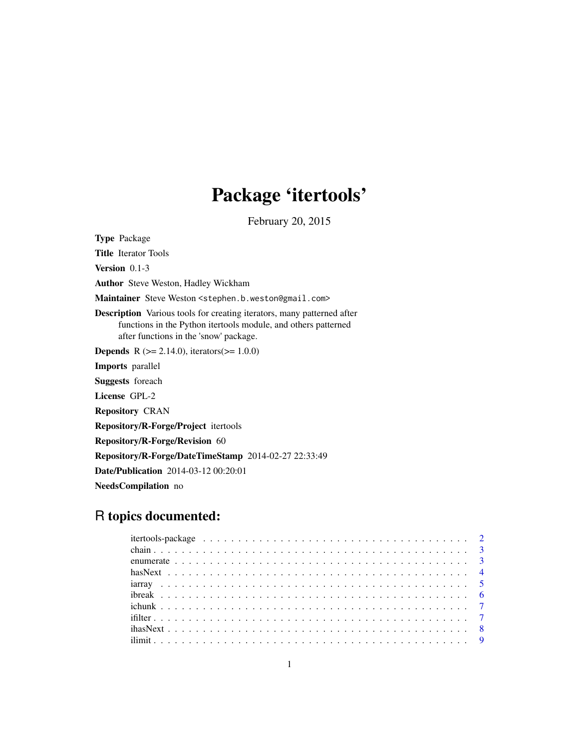# Package 'itertools'

February 20, 2015

<span id="page-0-0"></span>Type Package Title Iterator Tools Version 0.1-3 Author Steve Weston, Hadley Wickham Maintainer Steve Weston <stephen.b.weston@gmail.com> Description Various tools for creating iterators, many patterned after functions in the Python itertools module, and others patterned after functions in the 'snow' package. **Depends** R  $(>= 2.14.0)$ , iterators $(>= 1.0.0)$ Imports parallel Suggests foreach License GPL-2 Repository CRAN Repository/R-Forge/Project itertools Repository/R-Forge/Revision 60 Repository/R-Forge/DateTimeStamp 2014-02-27 22:33:49 Date/Publication 2014-03-12 00:20:01 NeedsCompilation no

## R topics documented:

| $\text{thasNext} \dots \dots \dots \dots \dots \dots \dots \dots \dots \dots \dots \dots \dots \dots \dots \dots \dots$ |
|-------------------------------------------------------------------------------------------------------------------------|
|                                                                                                                         |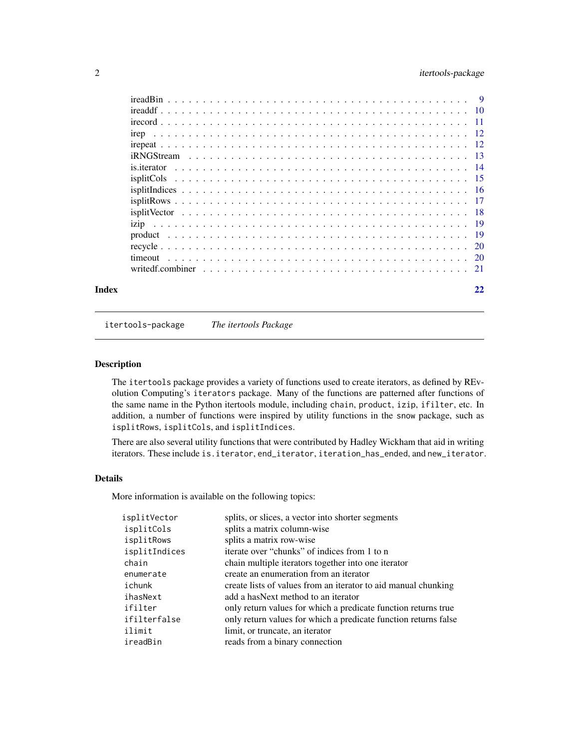### <span id="page-1-0"></span>2 itertools-package

| Index |             | 22 |
|-------|-------------|----|
|       |             |    |
|       |             |    |
|       |             |    |
|       |             |    |
|       |             |    |
|       |             |    |
|       |             |    |
|       |             |    |
|       |             |    |
|       | is.iterator |    |
|       |             |    |
|       |             |    |
|       |             |    |
|       |             |    |
|       |             |    |
|       |             |    |

itertools-package *The itertools Package*

#### Description

The itertools package provides a variety of functions used to create iterators, as defined by REvolution Computing's iterators package. Many of the functions are patterned after functions of the same name in the Python itertools module, including chain, product, izip, ifilter, etc. In addition, a number of functions were inspired by utility functions in the snow package, such as isplitRows, isplitCols, and isplitIndices.

There are also several utility functions that were contributed by Hadley Wickham that aid in writing iterators. These include is.iterator, end\_iterator, iteration\_has\_ended, and new\_iterator.

#### Details

More information is available on the following topics:

| isplitVector  | splits, or slices, a vector into shorter segments               |
|---------------|-----------------------------------------------------------------|
| isplitCols    | splits a matrix column-wise                                     |
| isplitRows    | splits a matrix row-wise                                        |
| isplitIndices | iterate over "chunks" of indices from 1 to n                    |
| chain         | chain multiple iterators together into one iterator             |
| enumerate     | create an enumeration from an iterator                          |
| ichunk        | create lists of values from an iterator to aid manual chunking  |
| ihasNext      | add a has Next method to an iterator                            |
| ifilter       | only return values for which a predicate function returns true  |
| ifilterfalse  | only return values for which a predicate function returns false |
| ilimit        | limit, or truncate, an iterator                                 |
| ireadBin      | reads from a binary connection                                  |
|               |                                                                 |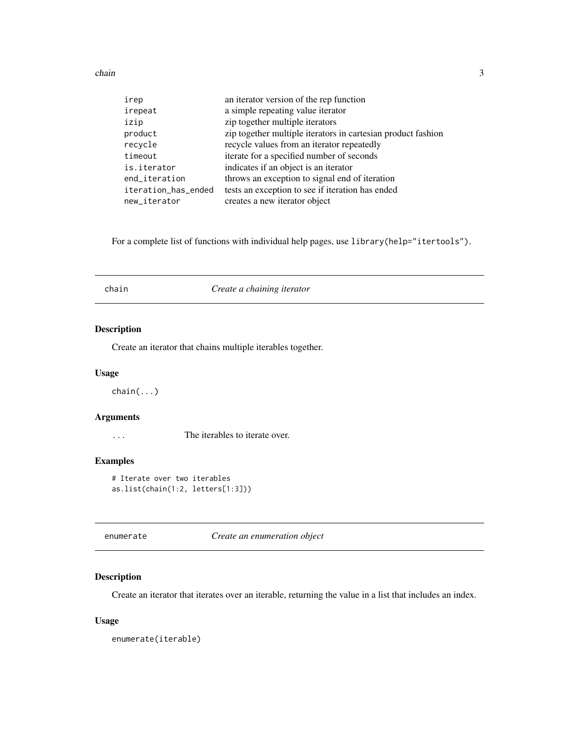<span id="page-2-0"></span>chain 3

| irep                | an iterator version of the rep function                      |
|---------------------|--------------------------------------------------------------|
| irepeat             | a simple repeating value iterator                            |
| izip                | zip together multiple iterators                              |
| product             | zip together multiple iterators in cartesian product fashion |
| recycle             | recycle values from an iterator repeatedly                   |
| timeout             | iterate for a specified number of seconds                    |
| is.iterator         | indicates if an object is an iterator                        |
| end_iteration       | throws an exception to signal end of iteration               |
| iteration_has_ended | tests an exception to see if iteration has ended             |
| new_iterator        | creates a new iterator object                                |

For a complete list of functions with individual help pages, use library(help="itertools").

| chain | Create a chaining iterator |  |
|-------|----------------------------|--|
|-------|----------------------------|--|

#### Description

Create an iterator that chains multiple iterables together.

#### Usage

chain(...)

#### Arguments

... The iterables to iterate over.

#### Examples

```
# Iterate over two iterables
as.list(chain(1:2, letters[1:3]))
```
enumerate *Create an enumeration object*

#### Description

Create an iterator that iterates over an iterable, returning the value in a list that includes an index.

#### Usage

enumerate(iterable)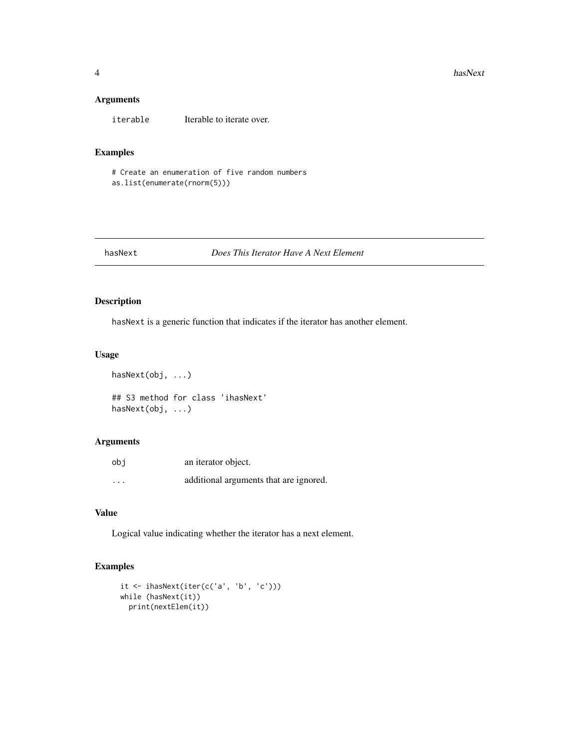#### <span id="page-3-0"></span>Arguments

iterable Iterable to iterate over.

#### Examples

```
# Create an enumeration of five random numbers
as.list(enumerate(rnorm(5)))
```
#### hasNext *Does This Iterator Have A Next Element*

#### Description

hasNext is a generic function that indicates if the iterator has another element.

#### Usage

hasNext(obj, ...)

## S3 method for class 'ihasNext' hasNext(obj, ...)

#### Arguments

| obi      | an iterator object.                    |
|----------|----------------------------------------|
| $\cdots$ | additional arguments that are ignored. |

#### Value

Logical value indicating whether the iterator has a next element.

```
it <- ihasNext(iter(c('a', 'b', 'c')))
while (hasNext(it))
 print(nextElem(it))
```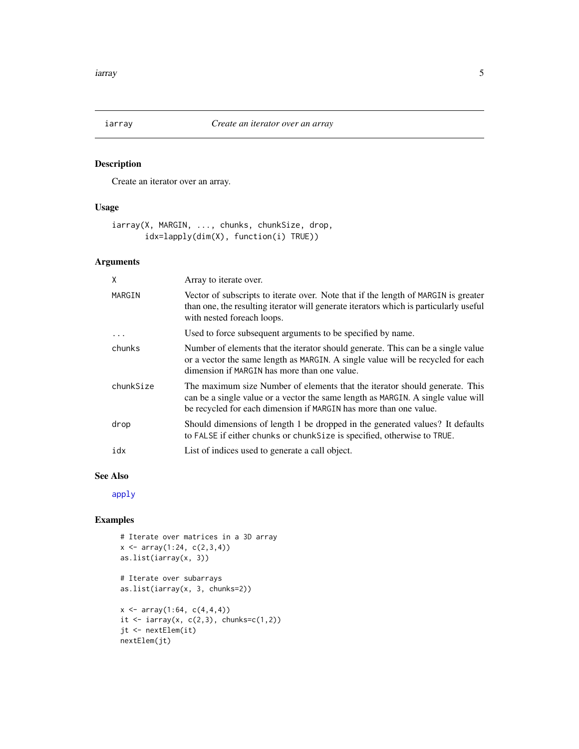<span id="page-4-0"></span>

Create an iterator over an array.

### Usage

iarray(X, MARGIN, ..., chunks, chunkSize, drop, idx=lapply(dim(X), function(i) TRUE))

#### Arguments

| X         | Array to iterate over.                                                                                                                                                                                                               |
|-----------|--------------------------------------------------------------------------------------------------------------------------------------------------------------------------------------------------------------------------------------|
| MARGIN    | Vector of subscripts to iterate over. Note that if the length of MARGIN is greater<br>than one, the resulting iterator will generate iterators which is particularly useful<br>with nested foreach loops.                            |
| .         | Used to force subsequent arguments to be specified by name.                                                                                                                                                                          |
| chunks    | Number of elements that the iterator should generate. This can be a single value<br>or a vector the same length as MARGIN. A single value will be recycled for each<br>dimension if MARGIN has more than one value.                  |
| chunkSize | The maximum size Number of elements that the iterator should generate. This<br>can be a single value or a vector the same length as MARGIN. A single value will<br>be recycled for each dimension if MARGIN has more than one value. |
| drop      | Should dimensions of length 1 be dropped in the generated values? It defaults<br>to FALSE if either chunks or chunk Size is specified, otherwise to TRUE.                                                                            |
| idx       | List of indices used to generate a call object.                                                                                                                                                                                      |

#### See Also

[apply](#page-0-0)

```
# Iterate over matrices in a 3D array
x \leftarrow \text{array}(1:24, c(2,3,4))as.list(iarray(x, 3))
# Iterate over subarrays
as.list(iarray(x, 3, chunks=2))
x \leftarrow \text{array}(1:64, c(4,4,4))it \le iarray(x, c(2,3), chunks=c(1,2))
jt <- nextElem(it)
nextElem(jt)
```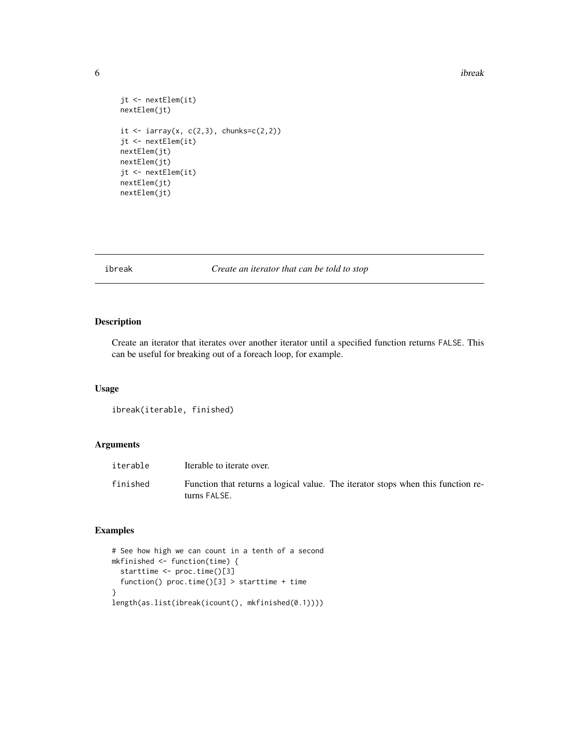```
jt <- nextElem(it)
nextElem(jt)
it \le iarray(x, c(2,3), chunks=c(2,2))
jt <- nextElem(it)
nextElem(jt)
nextElem(jt)
jt <- nextElem(it)
nextElem(jt)
nextElem(jt)
```
ibreak *Create an iterator that can be told to stop*

#### Description

Create an iterator that iterates over another iterator until a specified function returns FALSE. This can be useful for breaking out of a foreach loop, for example.

#### Usage

ibreak(iterable, finished)

#### Arguments

| iterable | Iterable to iterate over.                                                                        |
|----------|--------------------------------------------------------------------------------------------------|
| finished | Function that returns a logical value. The iterator stops when this function re-<br>turns FALSE. |

```
# See how high we can count in a tenth of a second
mkfinished <- function(time) {
  starttime <- proc.time()[3]
  function() proc.time()[3] > starttime + time
}
length(as.list(ibreak(icount(), mkfinished(0.1))))
```
<span id="page-5-0"></span>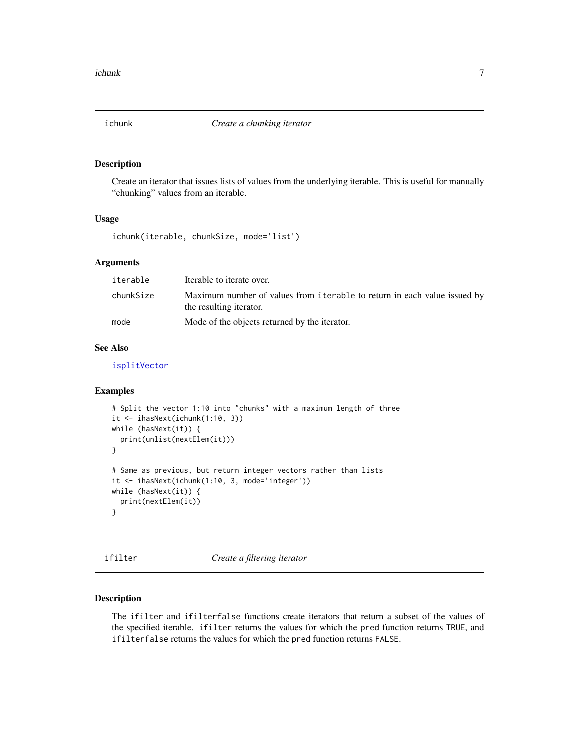<span id="page-6-0"></span>

Create an iterator that issues lists of values from the underlying iterable. This is useful for manually "chunking" values from an iterable.

#### Usage

ichunk(iterable, chunkSize, mode='list')

#### Arguments

| iterable  | Iterable to iterate over.                                                                           |
|-----------|-----------------------------------------------------------------------------------------------------|
| chunkSize | Maximum number of values from iterable to return in each value issued by<br>the resulting iterator. |
| mode      | Mode of the objects returned by the iterator.                                                       |

#### See Also

[isplitVector](#page-17-1)

#### Examples

```
# Split the vector 1:10 into "chunks" with a maximum length of three
it <- ihasNext(ichunk(1:10, 3))
while (hasNext(it)) {
  print(unlist(nextElem(it)))
}
# Same as previous, but return integer vectors rather than lists
it <- ihasNext(ichunk(1:10, 3, mode='integer'))
while (hasNext(it)) {
  print(nextElem(it))
}
```
ifilter *Create a filtering iterator*

#### Description

The ifilter and ifilterfalse functions create iterators that return a subset of the values of the specified iterable. ifilter returns the values for which the pred function returns TRUE, and ifilterfalse returns the values for which the pred function returns FALSE.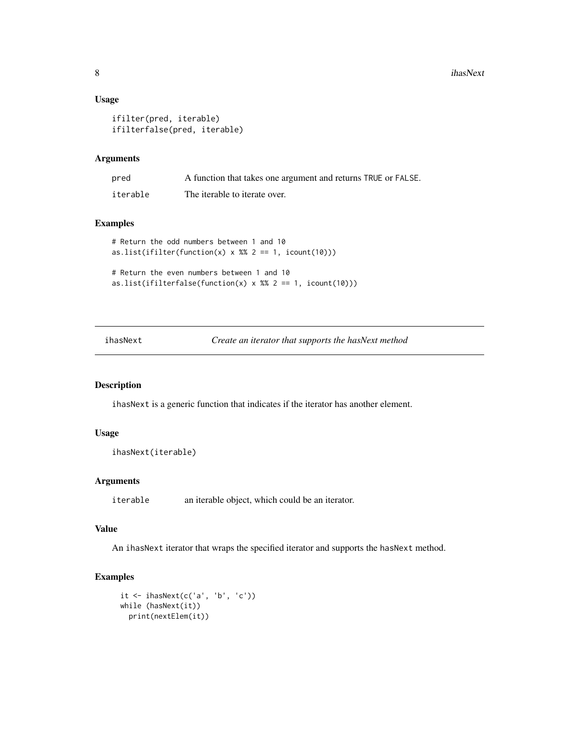#### Usage

```
ifilter(pred, iterable)
ifilterfalse(pred, iterable)
```
#### Arguments

| pred     | A function that takes one argument and returns TRUE or FALSE. |
|----------|---------------------------------------------------------------|
| iterable | The iterable to iterate over.                                 |

#### Examples

```
# Return the odd numbers between 1 and 10
as.list(ifilter(function(x) x %% 2 == 1, icount(10)))
# Return the even numbers between 1 and 10
```

```
as.list(ifilterfalse(function(x) x %% 2 == 1, icount(10)))
```
ihasNext *Create an iterator that supports the hasNext method*

#### Description

ihasNext is a generic function that indicates if the iterator has another element.

#### Usage

```
ihasNext(iterable)
```
#### Arguments

iterable an iterable object, which could be an iterator.

#### Value

An ihasNext iterator that wraps the specified iterator and supports the hasNext method.

```
it <- ihasNext(c('a', 'b', 'c'))
while (hasNext(it))
 print(nextElem(it))
```
<span id="page-7-0"></span>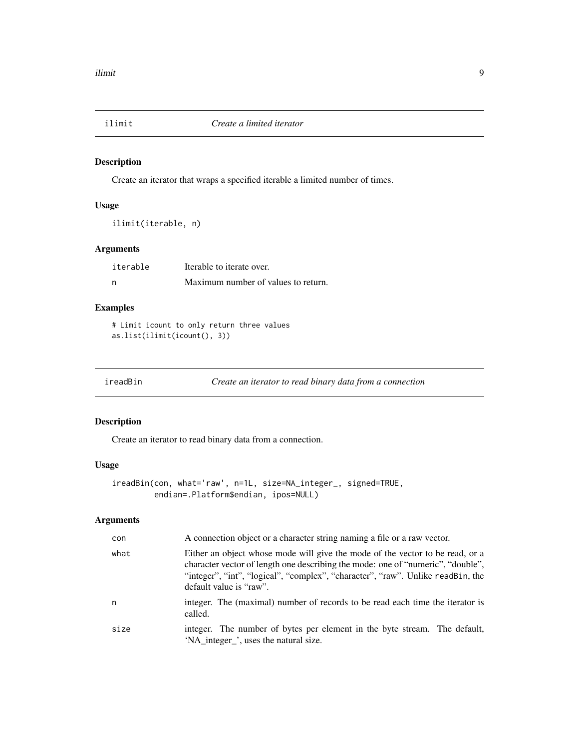<span id="page-8-0"></span>

Create an iterator that wraps a specified iterable a limited number of times.

#### Usage

```
ilimit(iterable, n)
```
#### Arguments

| iterable | Iterable to iterate over.           |
|----------|-------------------------------------|
| - n      | Maximum number of values to return. |

### Examples

```
# Limit icount to only return three values
as.list(ilimit(icount(), 3))
```
ireadBin *Create an iterator to read binary data from a connection*

#### Description

Create an iterator to read binary data from a connection.

#### Usage

```
ireadBin(con, what='raw', n=1L, size=NA_integer_, signed=TRUE,
         endian=.Platform$endian, ipos=NULL)
```
### Arguments

| con  | A connection object or a character string naming a file or a raw vector.                                                                                                                                                                                                       |
|------|--------------------------------------------------------------------------------------------------------------------------------------------------------------------------------------------------------------------------------------------------------------------------------|
| what | Either an object whose mode will give the mode of the vector to be read, or a<br>character vector of length one describing the mode: one of "numeric", "double",<br>"integer", "int", "logical", "complex", "character", "raw". Unlike readBin, the<br>default value is "raw". |
| n    | integer. The (maximal) number of records to be read each time the iterator is<br>called.                                                                                                                                                                                       |
| size | integer. The number of bytes per element in the byte stream. The default,<br>'NA_integer_', uses the natural size.                                                                                                                                                             |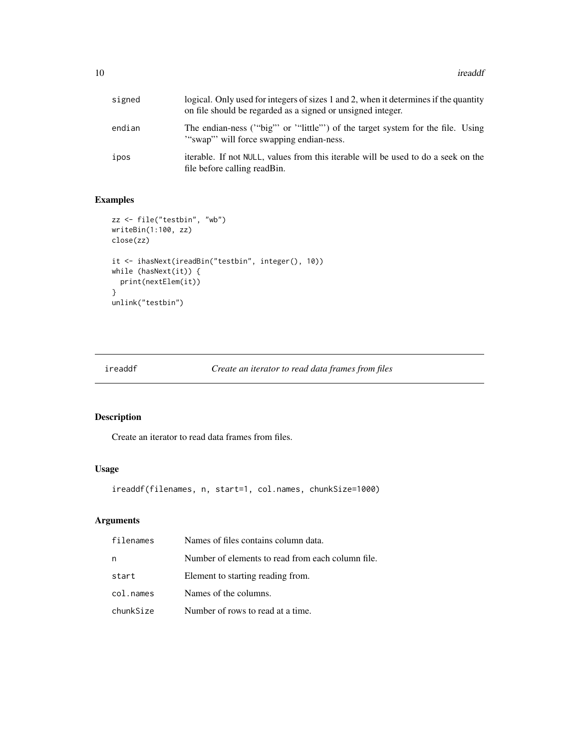<span id="page-9-0"></span>

| signed | logical. Only used for integers of sizes 1 and 2, when it determines if the quantity<br>on file should be regarded as a signed or unsigned integer. |
|--------|-----------------------------------------------------------------------------------------------------------------------------------------------------|
| endian | The endian-ness ("big" or "little") of the target system for the file. Using<br>"swap" will force swapping endian-ness.                             |
| ipos   | iterable. If not NULL, values from this iterable will be used to do a seek on the<br>file before calling read Bin.                                  |

#### Examples

```
zz <- file("testbin", "wb")
writeBin(1:100, zz)
close(zz)
it <- ihasNext(ireadBin("testbin", integer(), 10))
while (hasNext(it)) {
  print(nextElem(it))
}
unlink("testbin")
```

| ireaddf | Create an iterator to read data frames from files |  |  |
|---------|---------------------------------------------------|--|--|
|---------|---------------------------------------------------|--|--|

### Description

Create an iterator to read data frames from files.

#### Usage

```
ireaddf(filenames, n, start=1, col.names, chunkSize=1000)
```
### Arguments

| filenames | Names of files contains column data.              |
|-----------|---------------------------------------------------|
| n         | Number of elements to read from each column file. |
| start     | Element to starting reading from.                 |
| col.names | Names of the columns.                             |
| chunkSize | Number of rows to read at a time.                 |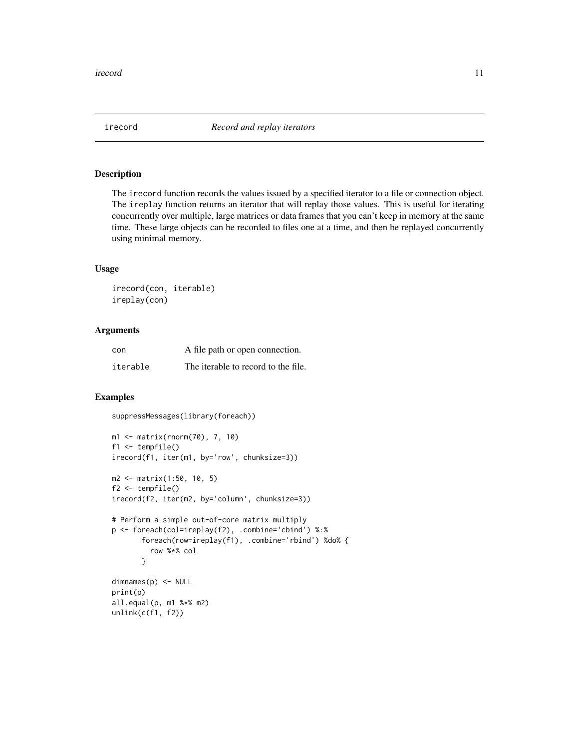<span id="page-10-0"></span>

The irecord function records the values issued by a specified iterator to a file or connection object. The ireplay function returns an iterator that will replay those values. This is useful for iterating concurrently over multiple, large matrices or data frames that you can't keep in memory at the same time. These large objects can be recorded to files one at a time, and then be replayed concurrently using minimal memory.

#### Usage

irecord(con, iterable) ireplay(con)

#### Arguments

| con      | A file path or open connection.     |
|----------|-------------------------------------|
| iterable | The iterable to record to the file. |

#### Examples

suppressMessages(library(foreach))

```
m1 <- matrix(rnorm(70), 7, 10)
f1 <- tempfile()
irecord(f1, iter(m1, by='row', chunksize=3))
m2 <- matrix(1:50, 10, 5)
f2 <- tempfile()
irecord(f2, iter(m2, by='column', chunksize=3))
# Perform a simple out-of-core matrix multiply
p <- foreach(col=ireplay(f2), .combine='cbind') %:%
       foreach(row=ireplay(f1), .combine='rbind') %do% {
         row %*% col
       }
dimnames(p) <- NULL
print(p)
all.equal(p, m1 %*% m2)
unlink(c(f1, f2))
```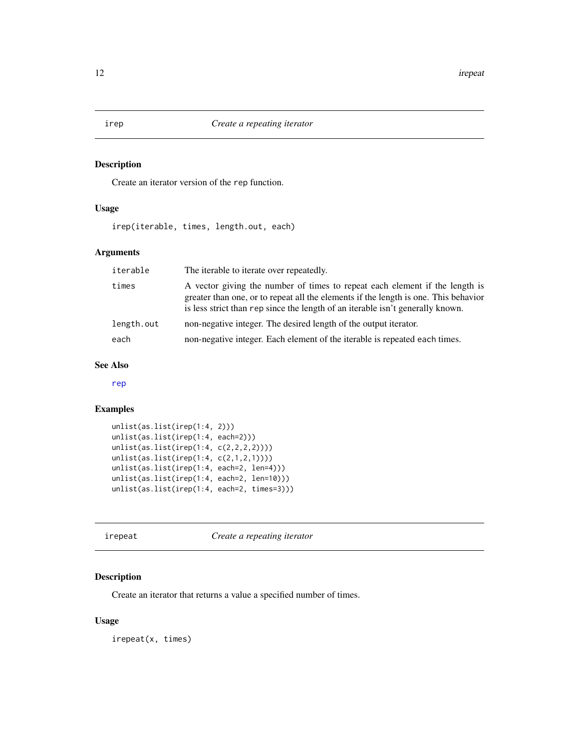<span id="page-11-0"></span>Create an iterator version of the rep function.

### Usage

irep(iterable, times, length.out, each)

#### Arguments

| iterable   | The iterable to iterate over repeatedly.                                                                                                                                                                                                             |
|------------|------------------------------------------------------------------------------------------------------------------------------------------------------------------------------------------------------------------------------------------------------|
| times      | A vector giving the number of times to repeat each element if the length is<br>greater than one, or to repeat all the elements if the length is one. This behavior<br>is less strict than rep since the length of an iterable isn't generally known. |
| length.out | non-negative integer. The desired length of the output iterator.                                                                                                                                                                                     |
| each       | non-negative integer. Each element of the iterable is repeated each times.                                                                                                                                                                           |

#### See Also

[rep](#page-0-0)

### Examples

```
unlist(as.list(irep(1:4, 2)))
unlist(as.list(irep(1:4, each=2)))
unlist(as.list(irep(1:4, c(2,2,2,2))))
unlist(as.list(irep(1:4, c(2,1,2,1))))
unlist(as.list(irep(1:4, each=2, len=4)))
unlist(as.list(irep(1:4, each=2, len=10)))
unlist(as.list(irep(1:4, each=2, times=3)))
```
irepeat *Create a repeating iterator*

#### Description

Create an iterator that returns a value a specified number of times.

#### Usage

irepeat(x, times)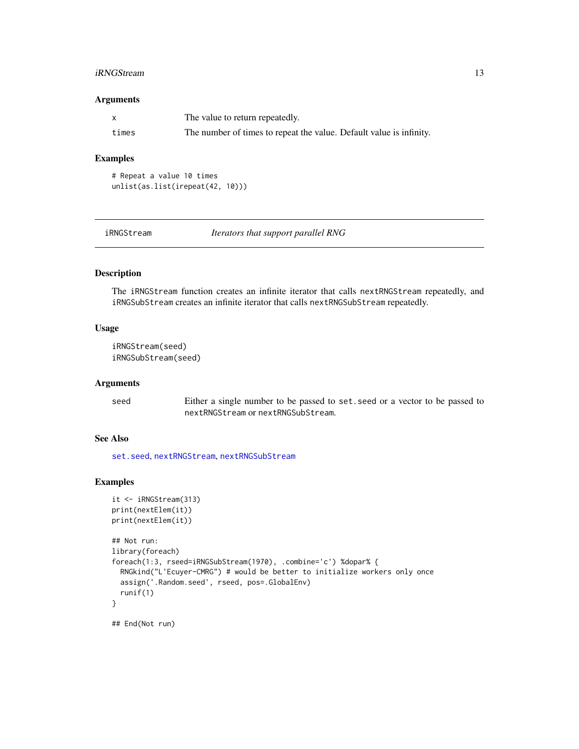#### <span id="page-12-0"></span>iRNGStream 13

#### Arguments

|       | The value to return repeatedly.                                     |
|-------|---------------------------------------------------------------------|
| times | The number of times to repeat the value. Default value is infinity. |

#### Examples

```
# Repeat a value 10 times
unlist(as.list(irepeat(42, 10)))
```

| iRNGStream |
|------------|
|------------|

Iterators that support parallel RNG

#### Description

The iRNGStream function creates an infinite iterator that calls nextRNGStream repeatedly, and iRNGSubStream creates an infinite iterator that calls nextRNGSubStream repeatedly.

### Usage

```
iRNGStream(seed)
iRNGSubStream(seed)
```
#### Arguments

seed Either a single number to be passed to set.seed or a vector to be passed to nextRNGStream or nextRNGSubStream.

### See Also

[set.seed](#page-0-0), [nextRNGStream](#page-0-0), [nextRNGSubStream](#page-0-0)

```
it <- iRNGStream(313)
print(nextElem(it))
print(nextElem(it))
## Not run:
library(foreach)
foreach(1:3, rseed=iRNGSubStream(1970), .combine='c') %dopar% {
  RNGkind("L'Ecuyer-CMRG") # would be better to initialize workers only once
  assign('.Random.seed', rseed, pos=.GlobalEnv)
  runif(1)
}
## End(Not run)
```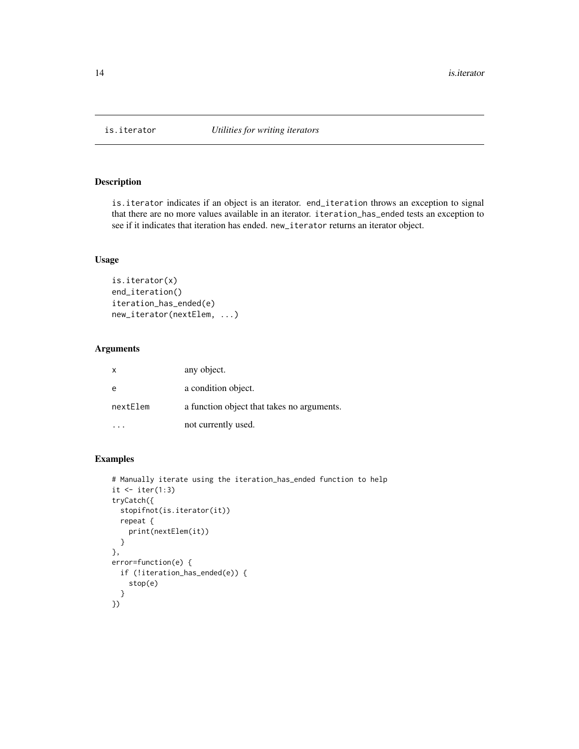<span id="page-13-0"></span>

is.iterator indicates if an object is an iterator. end\_iteration throws an exception to signal that there are no more values available in an iterator. iteration\_has\_ended tests an exception to see if it indicates that iteration has ended. new\_iterator returns an iterator object.

#### Usage

```
is.iterator(x)
end_iteration()
iteration_has_ended(e)
new_iterator(nextElem, ...)
```
#### Arguments

| X        | any object.                                |
|----------|--------------------------------------------|
| e        | a condition object.                        |
| nextElem | a function object that takes no arguments. |
|          | not currently used.                        |

```
# Manually iterate using the iteration_has_ended function to help
it \leftarrow iter(1:3)tryCatch({
  stopifnot(is.iterator(it))
  repeat {
    print(nextElem(it))
  }
},
error=function(e) {
  if (!iteration_has_ended(e)) {
    stop(e)
  }
})
```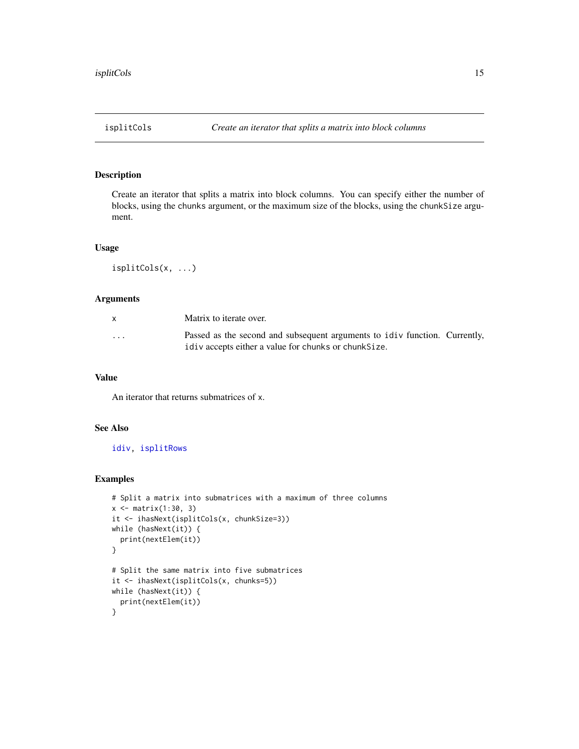<span id="page-14-1"></span><span id="page-14-0"></span>

Create an iterator that splits a matrix into block columns. You can specify either the number of blocks, using the chunks argument, or the maximum size of the blocks, using the chunkSize argument.

#### Usage

isplitCols(x, ...)

#### Arguments

| X        | Matrix to iterate over.                                                                                                             |  |
|----------|-------------------------------------------------------------------------------------------------------------------------------------|--|
| $\cdots$ | Passed as the second and subsequent arguments to idiv function. Currently,<br>idiv accepts either a value for chunks or chunk Size. |  |

#### Value

An iterator that returns submatrices of x.

### See Also

[idiv,](#page-0-0) [isplitRows](#page-16-1)

```
# Split a matrix into submatrices with a maximum of three columns
x <- matrix(1:30, 3)
it <- ihasNext(isplitCols(x, chunkSize=3))
while (hasNext(it)) {
  print(nextElem(it))
}
# Split the same matrix into five submatrices
it <- ihasNext(isplitCols(x, chunks=5))
while (hasNext(it)) {
  print(nextElem(it))
}
```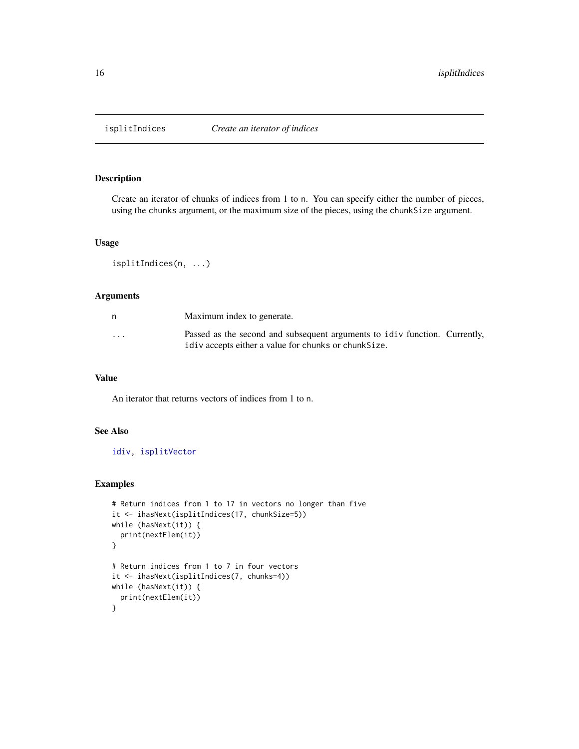<span id="page-15-0"></span>

Create an iterator of chunks of indices from 1 to n. You can specify either the number of pieces, using the chunks argument, or the maximum size of the pieces, using the chunkSize argument.

#### Usage

```
isplitIndices(n, ...)
```
#### Arguments

| n        | Maximum index to generate.                                                                                                          |
|----------|-------------------------------------------------------------------------------------------------------------------------------------|
| $\cdots$ | Passed as the second and subsequent arguments to idiv function. Currently,<br>idiv accepts either a value for chunks or chunk Size. |

#### Value

An iterator that returns vectors of indices from 1 to n.

#### See Also

[idiv,](#page-0-0) [isplitVector](#page-17-1)

```
# Return indices from 1 to 17 in vectors no longer than five
it <- ihasNext(isplitIndices(17, chunkSize=5))
while (hasNext(it)) {
  print(nextElem(it))
}
# Return indices from 1 to 7 in four vectors
it <- ihasNext(isplitIndices(7, chunks=4))
while (hasNext(it)) {
  print(nextElem(it))
}
```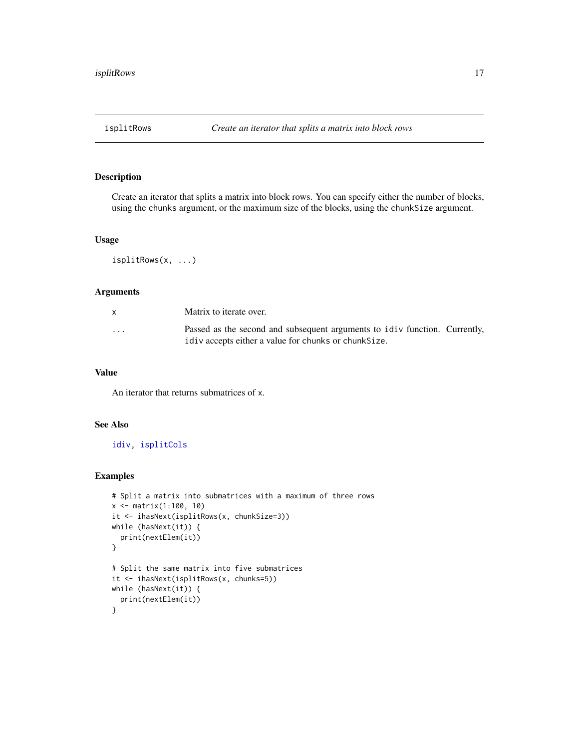<span id="page-16-1"></span><span id="page-16-0"></span>

Create an iterator that splits a matrix into block rows. You can specify either the number of blocks, using the chunks argument, or the maximum size of the blocks, using the chunkSize argument.

#### Usage

isplitRows(x, ...)

#### Arguments

|                         | Matrix to iterate over.                                                                                                             |
|-------------------------|-------------------------------------------------------------------------------------------------------------------------------------|
| $\cdot$ $\cdot$ $\cdot$ | Passed as the second and subsequent arguments to idiv function. Currently,<br>idiv accepts either a value for chunks or chunk Size. |

#### Value

An iterator that returns submatrices of x.

#### See Also

[idiv,](#page-0-0) [isplitCols](#page-14-1)

```
# Split a matrix into submatrices with a maximum of three rows
x <- matrix(1:100, 10)
it <- ihasNext(isplitRows(x, chunkSize=3))
while (hasNext(it)) {
  print(nextElem(it))
}
# Split the same matrix into five submatrices
it <- ihasNext(isplitRows(x, chunks=5))
while (hasNext(it)) {
  print(nextElem(it))
}
```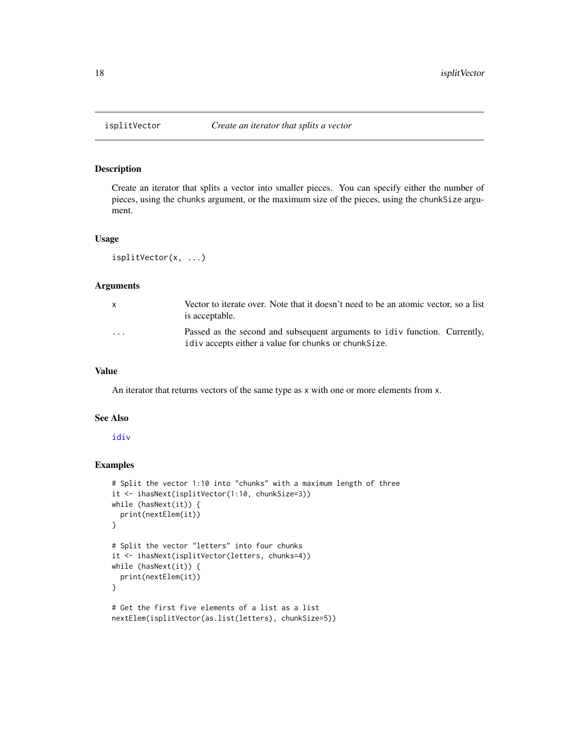Create an iterator that splits a vector into smaller pieces. You can specify either the number of pieces, using the chunks argument, or the maximum size of the pieces, using the chunkSize argument.

#### Usage

```
isplitVector(x, ...)
```
#### Arguments

| X        | Vector to iterate over. Note that it doesn't need to be an atomic vector, so a list<br>is acceptable.                               |
|----------|-------------------------------------------------------------------------------------------------------------------------------------|
| $\cdots$ | Passed as the second and subsequent arguments to idiv function. Currently,<br>idiv accepts either a value for chunks or chunk Size. |

#### Value

An iterator that returns vectors of the same type as x with one or more elements from x.

#### See Also

[idiv](#page-0-0)

```
# Split the vector 1:10 into "chunks" with a maximum length of three
it <- ihasNext(isplitVector(1:10, chunkSize=3))
while (hasNext(it)) {
 print(nextElem(it))
}
# Split the vector "letters" into four chunks
it <- ihasNext(isplitVector(letters, chunks=4))
while (hasNext(it)) {
 print(nextElem(it))
}
# Get the first five elements of a list as a list
nextElem(isplitVector(as.list(letters), chunkSize=5))
```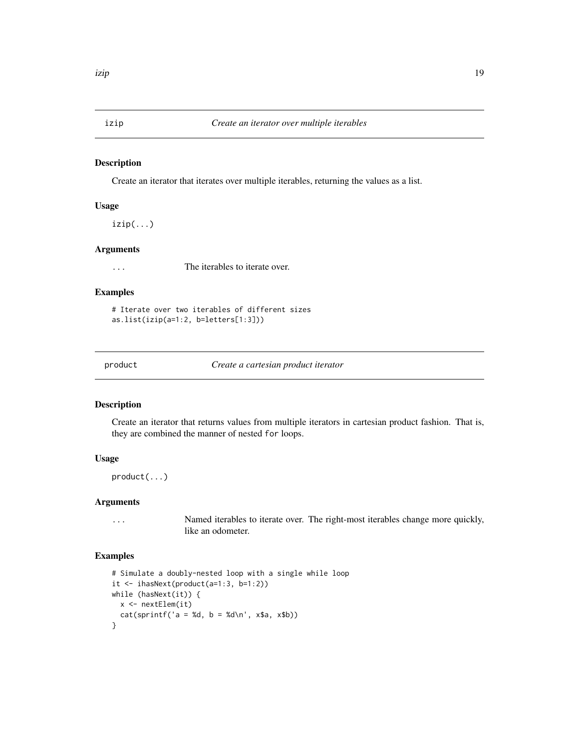<span id="page-18-0"></span>

Create an iterator that iterates over multiple iterables, returning the values as a list.

#### Usage

 $izip(\ldots)$ 

#### Arguments

... The iterables to iterate over.

#### Examples

```
# Iterate over two iterables of different sizes
as.list(izip(a=1:2, b=letters[1:3]))
```
product *Create a cartesian product iterator*

#### Description

Create an iterator that returns values from multiple iterators in cartesian product fashion. That is, they are combined the manner of nested for loops.

#### Usage

product(...)

#### Arguments

... Named iterables to iterate over. The right-most iterables change more quickly, like an odometer.

```
# Simulate a doubly-nested loop with a single while loop
it \leftarrow ihasNext(product(a=1:3, b=1:2))
while (hasNext(it)) {
 x <- nextElem(it)
 cat(sprint('a = %d, b = %d\n', x$a, x$b))}
```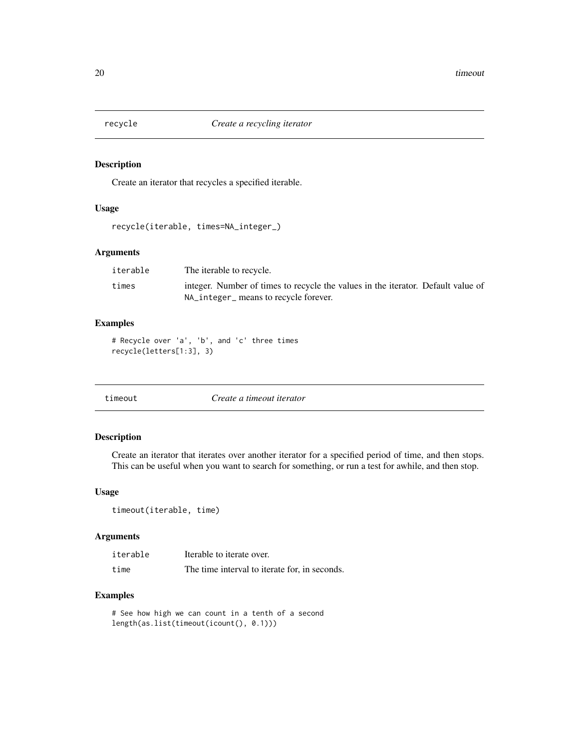<span id="page-19-0"></span>

Create an iterator that recycles a specified iterable.

### Usage

```
recycle(iterable, times=NA_integer_)
```
#### Arguments

| iterable | The iterable to recycle.                                                         |
|----------|----------------------------------------------------------------------------------|
| times    | integer. Number of times to recycle the values in the iterator. Default value of |
|          | NA_integer_ means to recycle forever.                                            |

#### Examples

```
# Recycle over 'a', 'b', and 'c' three times
recycle(letters[1:3], 3)
```

|  | timeout |  |
|--|---------|--|
|  |         |  |

timeout *Create a timeout iterator*

#### Description

Create an iterator that iterates over another iterator for a specified period of time, and then stops. This can be useful when you want to search for something, or run a test for awhile, and then stop.

#### Usage

timeout(iterable, time)

#### Arguments

| iterable | Iterable to iterate over.                     |
|----------|-----------------------------------------------|
| time     | The time interval to iterate for, in seconds. |

```
# See how high we can count in a tenth of a second
length(as.list(timeout(icount(), 0.1)))
```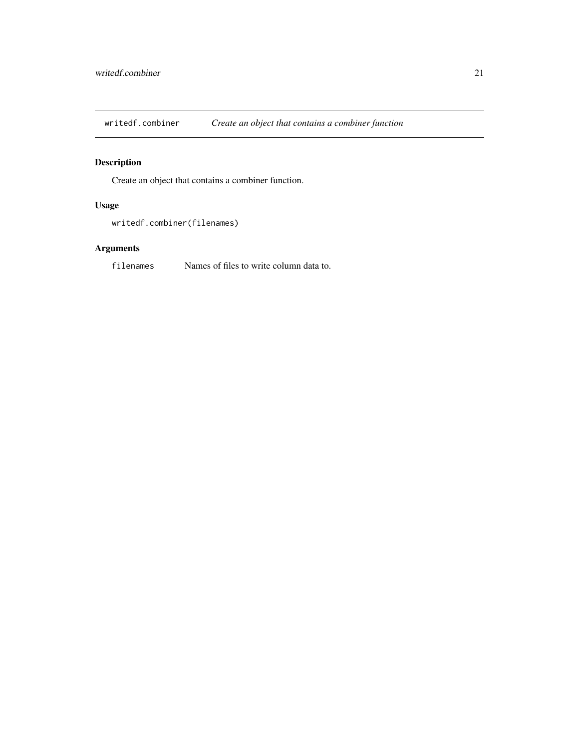<span id="page-20-0"></span>writedf.combiner *Create an object that contains a combiner function*

## Description

Create an object that contains a combiner function.

#### Usage

writedf.combiner(filenames)

### Arguments

filenames Names of files to write column data to.